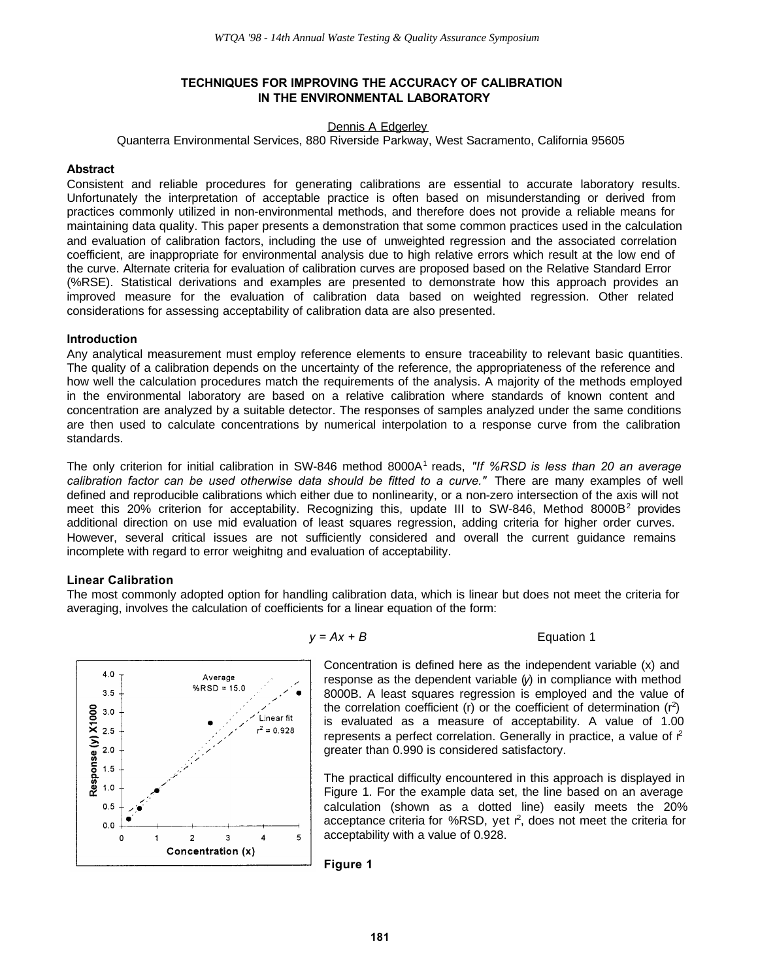# **TECHNIQUES FOR IMPROVING THE ACCURACY OF CALIBRATION IN THE ENVIRONMENTAL LABORATORY**

# Dennis A Edgerley

Quanterra Environmental Services, 880 Riverside Parkway, West Sacramento, California 95605

## **Abstract**

Consistent and reliable procedures for generating calibrations are essential to accurate laboratory results. Unfortunately the interpretation of acceptable practice is often based on misunderstanding or derived from practices commonly utilized in non-environmental methods, and therefore does not provide a reliable means for maintaining data quality. This paper presents a demonstration that some common practices used in the calculation and evaluation of calibration factors, including the use of unweighted regression and the associated correlation coefficient, are inappropriate for environmental analysis due to high relative errors which result at the low end of the curve. Alternate criteria for evaluation of calibration curves are proposed based on the Relative Standard Error (%RSE). Statistical derivations and examples are presented to demonstrate how this approach provides an improved measure for the evaluation of calibration data based on weighted regression. Other related considerations for assessing acceptability of calibration data are also presented.

# **Introduction**

Any analytical measurement must employ reference elements to ensure traceability to relevant basic quantities. The quality of a calibration depends on the uncertainty of the reference, the appropriateness of the reference and how well the calculation procedures match the requirements of the analysis. A majority of the methods employed in the environmental laboratory are based on a relative calibration where standards of known content and concentration are analyzed by a suitable detector. The responses of samples analyzed under the same conditions are then used to calculate concentrations by numerical interpolation to a response curve from the calibration standards.

The only criterion for initial calibration in SW-846 method 8000A<sup>1</sup> reads, *"If %RSD is less than 20 an average calibration factor can be used otherwise data should be fitted to a curve."* There are many examples of well defined and reproducible calibrations which either due to nonlinearity, or a non-zero intersection of the axis will not meet this 20% criterion for acceptability. Recognizing this, update III to SW-846, Method 8000B<sup>2</sup> provides additional direction on use mid evaluation of least squares regression, adding criteria for higher order curves. However, several critical issues are not sufficiently considered and overall the current guidance remains incomplete with regard to error weighitng and evaluation of acceptability.

# **Linear Calibration**

The most commonly adopted option for handling calibration data, which is linear but does not meet the criteria for averaging, involves the calculation of coefficients for a linear equation of the form:



 $y = Ax + B$  Equation 1

Concentration is defined here as the independent variable (x) and response as the dependent variable (*y*) in compliance with method 8000B. A least squares regression is employed and the value of the correlation coefficient (r) or the coefficient of determination  $(r^2)$ is evaluated as a measure of acceptability. A value of 1.00 represents a perfect correlation. Generally in practice, a value of  $f<sup>2</sup>$ greater than 0.990 is considered satisfactory.

The practical difficulty encountered in this approach is displayed in Figure 1. For the example data set, the line based on an average calculation (shown as a dotted line) easily meets the 20% acceptance criteria for %RSD, yet  $r^2$ , does not meet the criteria for acceptability with a value of 0.928.

**Figure 1**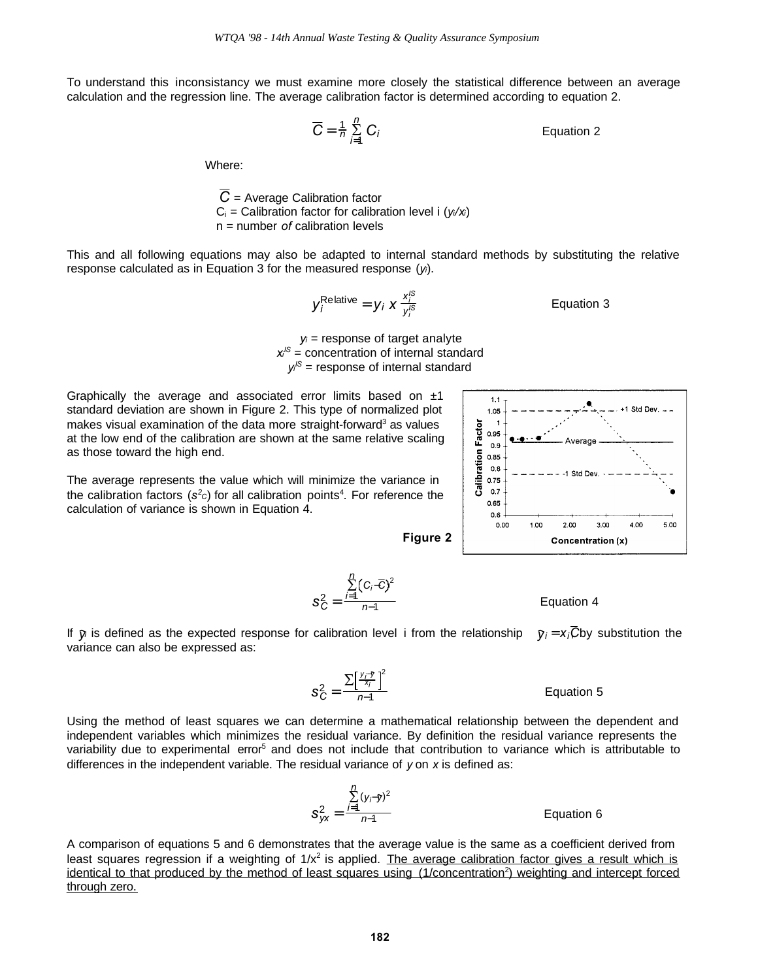To understand this inconsistancy we must examine more closely the statistical difference between an average calculation and the regression line. The average calibration factor is determined according to equation 2.

$$
\overline{C} = \frac{1}{n} \sum_{i=1}^{n} C_i
$$
 Equation 2

Where:

 $\overline{C}$  = Average Calibration factor  $C_i$  = Calibration factor for calibration level i  $(y_i/x_i)$ n = number *of* calibration levels

This and all following equations may also be adapted to internal standard methods by substituting the relative response calculated as in Equation 3 for the measured response (*yi*).

$$
y_i^{\text{Relative}} = y_i \times \frac{x_i^{\text{IS}}}{y_i^{\text{IS}}}
$$
 Equation 3

*yi* = response of target analyte *xi IS* = concentration of internal standard *yi IS* = response of internal standard

Graphically the average and associated error limits based on  $±1$ standard deviation are shown in Figure 2. This type of normalized plot makes visual examination of the data more straight-forward<sup>3</sup> as values at the low end of the calibration are shown at the same relative scaling as those toward the high end.

The average represents the value which will minimize the variance in the calibration factors (s<sup>2</sup>c) for all calibration points<sup>4</sup>. For reference the calculation of variance is shown in Equation 4.

**Figure 2**

 $s_C^2 = \frac{I=1}{n-1}$  Equation 4

If  $\hat{y}$  is defined as the expected response for calibration level i from the relationship  $\hat{y}_i = x_i \overline{C}$  by substitution the variance can also be expressed as:

2

S *yi* −*y xi*

*n*−1

 $C_i$ <sup>−</sup>*C* $)^2$ *n*−1

S *i*=1 *n*

Using the method of least squares we can determine a mathematical relationship between the dependent and independent variables which minimizes the residual variance. By definition the residual variance represents the variability due to experimental error<sup>5</sup> and does not include that contribution to variance which is attributable to differences in the independent variable. The residual variance of *y* on *x* is defined as:

$$
s_{yx}^2 = \frac{\sum_{i=1}^{n} (y_i - \hat{y})^2}{n-1}
$$
 Equation 6

 $s_C^2 = \frac{2\left(\begin{array}{cc} \gamma & \gamma \\ \gamma - 1 & \gamma \end{array}\right)}{n-1}$  Equation 5

A comparison of equations 5 and 6 demonstrates that the average value is the same as a coefficient derived from least squares regression if a weighting of 1/x<sup>2</sup> is applied. The average calibration factor gives a result which is identical to that produced by the method of least squares using (1/concentration<sup>2</sup>) weighting and intercept forced through zero.

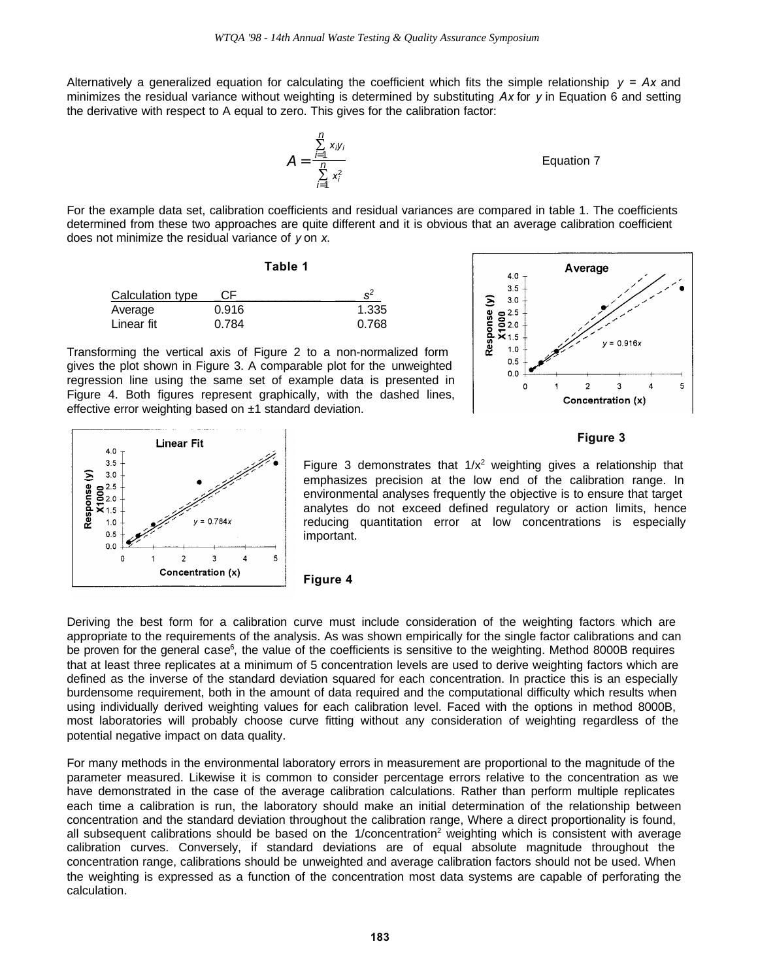Alternatively a generalized equation for calculating the coefficient which fits the simple relationship  $y = Ax$  and minimizes the residual variance without weighting is determined by substituting *Ax* for *y* in Equation 6 and setting the derivative with respect to A equal to zero. This gives for the calibration factor:

> $A = \frac{F}{n}$  Equation 7 S *i*=1 *n xiy<sup>i</sup>* S *i*=1 *n xi* 2

For the example data set, calibration coefficients and residual variances are compared in table 1. The coefficients determined from these two approaches are quite different and it is obvious that an average calibration coefficient does not minimize the residual variance of *y* on *x*.

|                  | Table 1 |  |       |
|------------------|---------|--|-------|
| Calculation type | CF      |  | $s^2$ |
| Average          | 0.916   |  | 1.335 |
| Linear fit       | 0.784   |  | 0.768 |

Transforming the vertical axis of Figure 2 to a non-normalized form gives the plot shown in Figure 3. A comparable plot for the unweighted regression line using the same set of example data is presented in Figure 4. Both figures represent graphically, with the dashed lines, effective error weighting based on ±1 standard deviation.



#### **Linear Fit**  $4.0$  $3.5$  $3.0$ Response (y)  $\frac{8}{2}$ <br> $\frac{2.5}{2.0}$ <br> $\frac{1}{2}$ <br>1.5  $= 0.784x$  $1.0$  $0.5$  $0.0$  $\overline{2}$  $\overline{3}$  $\overline{4}$ 5 Concentration (x)

**Figure 3** 

Figure 3 demonstrates that  $1/x^2$  weighting gives a relationship that emphasizes precision at the low end of the calibration range. In environmental analyses frequently the objective is to ensure that target analytes do not exceed defined regulatory or action limits, hence reducing quantitation error at low concentrations is especially important.



Deriving the best form for a calibration curve must include consideration of the weighting factors which are appropriate to the requirements of the analysis. As was shown empirically for the single factor calibrations and can be proven for the general case<sup>6</sup>, the value of the coefficients is sensitive to the weighting. Method 8000B requires that at least three replicates at a minimum of 5 concentration levels are used to derive weighting factors which are defined as the inverse of the standard deviation squared for each concentration. In practice this is an especially burdensome requirement, both in the amount of data required and the computational difficulty which results when using individually derived weighting values for each calibration level. Faced with the options in method 8000B, most laboratories will probably choose curve fitting without any consideration of weighting regardless of the potential negative impact on data quality.

For many methods in the environmental laboratory errors in measurement are proportional to the magnitude of the parameter measured. Likewise it is common to consider percentage errors relative to the concentration as we have demonstrated in the case of the average calibration calculations. Rather than perform multiple replicates each time a calibration is run, the laboratory should make an initial determination of the relationship between concentration and the standard deviation throughout the calibration range, Where a direct proportionality is found, all subsequent calibrations should be based on the 1/concentration<sup>2</sup> weighting which is consistent with average calibration curves. Conversely, if standard deviations are of equal absolute magnitude throughout the concentration range, calibrations should be unweighted and average calibration factors should not be used. When the weighting is expressed as a function of the concentration most data systems are capable of perforating the calculation.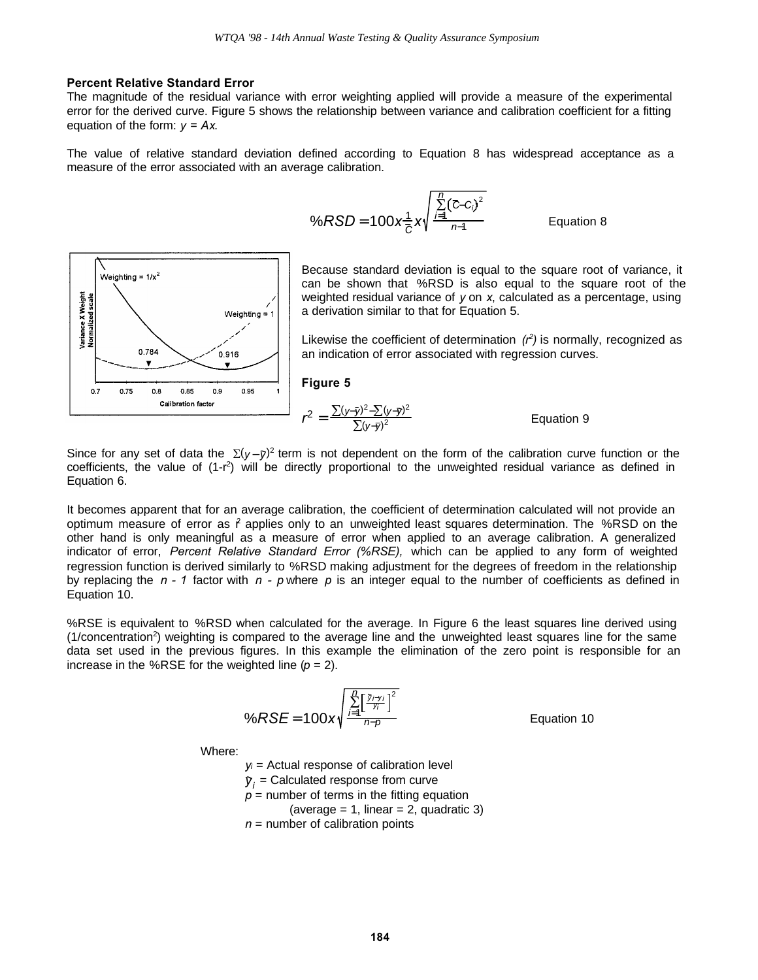#### **Percent Relative Standard Error**

The magnitude of the residual variance with error weighting applied will provide a measure of the experimental error for the derived curve. Figure 5 shows the relationship between variance and calibration coefficient for a fitting equation of the form: *y = Ax*.

The value of relative standard deviation defined according to Equation 8 has widespread acceptance as a measure of the error associated with an average calibration.

$$
\%RSD = 100x \frac{1}{C} x \sqrt{\frac{\sum_{i=1}^{D} (\overline{c} - c_i)^2}{n-1}}
$$
 Equation 8



Because standard deviation is equal to the square root of variance, it can be shown that %RSD is also equal to the square root of the weighted residual variance of *y* on *x*, calculated as a percentage, using a derivation similar to that for Equation 5.

Likewise the coefficient of determination *(r<sup>2</sup> )* is normally, recognized as an indication of error associated with regression curves.

**Figure 5**

$$
r^{2} = \frac{\sum(y-\bar{y})^{2} - \sum(y-\bar{y})^{2}}{\sum(y-\bar{y})^{2}}
$$
 Equation 9

Since for any set of data the  $\Sigma(v - \bar{v})^2$  term is not dependent on the form of the calibration curve function or the coefficients, the value of  $(1-r^2)$  will be directly proportional to the unweighted residual variance as defined in Equation 6.

It becomes apparent that for an average calibration, the coefficient of determination calculated will not provide an optimum measure of error as  $\hat{r}$  applies only to an unweighted least squares determination. The %RSD on the other hand is only meaningful as a measure of error when applied to an average calibration. A generalized indicator of error, *Percent Relative Standard Error (%RSE),* which can be applied to any form of weighted regression function is derived similarly to %RSD making adjustment for the degrees of freedom in the relationship by replacing the *n - 1* factor with *n - p* where *p* is an integer equal to the number of coefficients as defined in Equation 10.

%RSE is equivalent to %RSD when calculated for the average. In Figure 6 the least squares line derived using (1/concentration<sup>2</sup>) weighting is compared to the average line and the unweighted least squares line for the same data set used in the previous figures. In this example the elimination of the zero point is responsible for an increase in the %RSE for the weighted line  $(p = 2)$ .

$$
\%RSE = 100x \sqrt{\frac{\sum_{i=1}^{n} \left[\frac{\tilde{y}_{i} - y_{i}}{y_{i}}\right]^{2}}{n-p}}
$$

**Equation 10** 

Where:

 $y_i$  = Actual response of calibration level

 $\hat{y}_i$  = Calculated response from curve

 $p =$  number of terms in the fitting equation

(average  $= 1$ , linear  $= 2$ , quadratic 3)

 $n =$  number of calibration points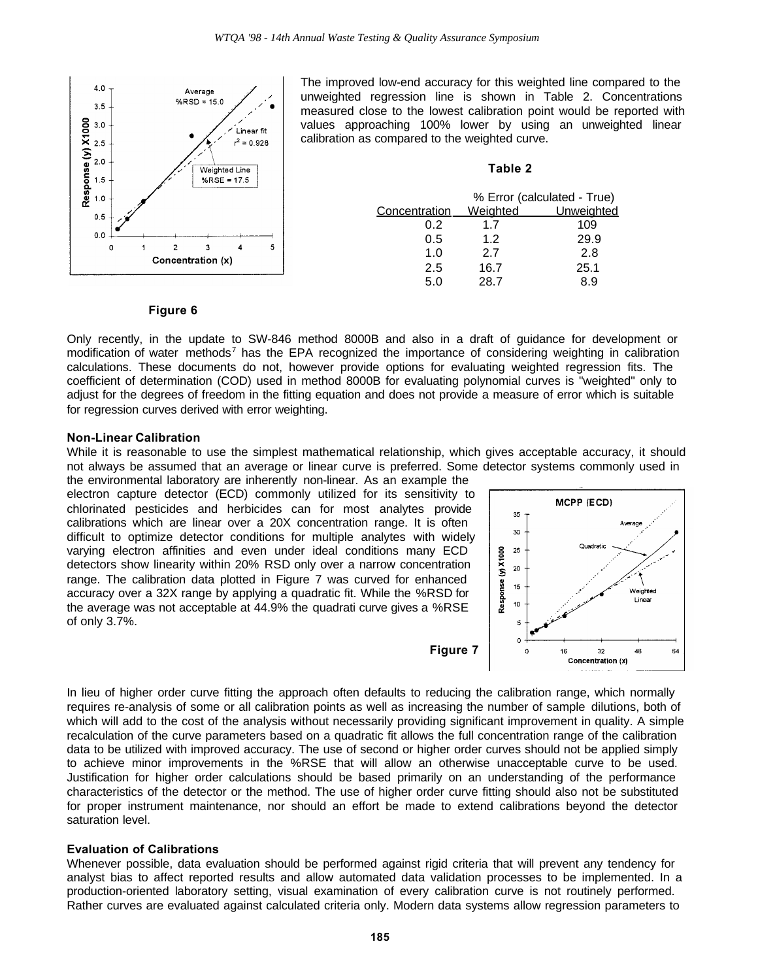

The improved low-end accuracy for this weighted line compared to the unweighted regression line is shown in Table 2. Concentrations measured close to the lowest calibration point would be reported with values approaching 100% lower by using an unweighted linear calibration as compared to the weighted curve.

#### **Table 2**

|               | % Error (calculated - True) |            |  |
|---------------|-----------------------------|------------|--|
| Concentration | Weighted                    | Unweighted |  |
| 0.2           | 17                          | 109        |  |
| 0.5           | 1.2                         | 29.9       |  |
| 1.0           | 2.7                         | 2.8        |  |
| 2.5           | 16.7                        | 25.1       |  |
| 5.0           | 28.7                        |            |  |

#### **Figure 6**

Only recently, in the update to SW-846 method 8000B and also in a draft of guidance for development or modification of water methods<sup>7</sup> has the EPA recognized the importance of considering weighting in calibration calculations. These documents do not, however provide options for evaluating weighted regression fits. The coefficient of determination (COD) used in method 8000B for evaluating polynomial curves is "weighted" only to adjust for the degrees of freedom in the fitting equation and does not provide a measure of error which is suitable for regression curves derived with error weighting.

#### **Non-Linear Calibration**

While it is reasonable to use the simplest mathematical relationship, which gives acceptable accuracy, it should not always be assumed that an average or linear curve is preferred. Some detector systems commonly used in

the environmental laboratory are inherently non-linear. As an example the electron capture detector (ECD) commonly utilized for its sensitivity to chlorinated pesticides and herbicides can for most analytes provide calibrations which are linear over a 20X concentration range. It is often difficult to optimize detector conditions for multiple analytes with widely varying electron affinities and even under ideal conditions many ECD detectors show linearity within 20% RSD only over a narrow concentration range. The calibration data plotted in Figure 7 was curved for enhanced accuracy over a 32X range by applying a quadratic fit. While the %RSD for the average was not acceptable at 44.9% the quadrati curve gives a %RSE of only 3.7%.

**Figure 7**



In lieu of higher order curve fitting the approach often defaults to reducing the calibration range, which normally requires re-analysis of some or all calibration points as well as increasing the number of sample dilutions, both of which will add to the cost of the analysis without necessarily providing significant improvement in quality. A simple recalculation of the curve parameters based on a quadratic fit allows the full concentration range of the calibration data to be utilized with improved accuracy. The use of second or higher order curves should not be applied simply to achieve minor improvements in the %RSE that will allow an otherwise unacceptable curve to be used. Justification for higher order calculations should be based primarily on an understanding of the performance characteristics of the detector or the method. The use of higher order curve fitting should also not be substituted for proper instrument maintenance, nor should an effort be made to extend calibrations beyond the detector saturation level.

# **Evaluation of Calibrations**

Whenever possible, data evaluation should be performed against rigid criteria that will prevent any tendency for analyst bias to affect reported results and allow automated data validation processes to be implemented. In a production-oriented laboratory setting, visual examination of every calibration curve is not routinely performed. Rather curves are evaluated against calculated criteria only. Modern data systems allow regression parameters to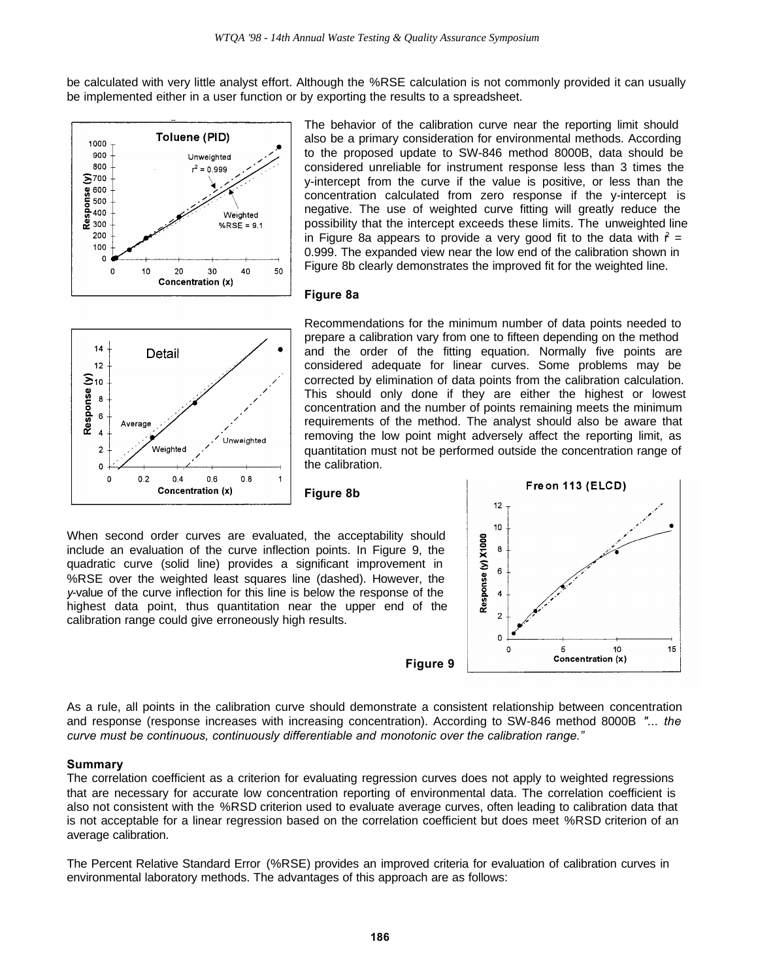be calculated with very little analyst effort. Although the %RSE calculation is not commonly provided it can usually be implemented either in a user function or by exporting the results to a spreadsheet.



The behavior of the calibration curve near the reporting limit should also be a primary consideration for environmental methods. According to the proposed update to SW-846 method 8000B, data should be considered unreliable for instrument response less than 3 times the y-intercept from the curve if the value is positive, or less than the concentration calculated from zero response if the y-intercept is negative. The use of weighted curve fitting will greatly reduce the possibility that the intercept exceeds these limits. The unweighted line in Figure 8a appears to provide a very good fit to the data with  $\hat{r}$  = 0.999. The expanded view near the low end of the calibration shown in Figure 8b clearly demonstrates the improved fit for the weighted line.

### **Figure 8a**



Recommendations for the minimum number of data points needed to prepare a calibration vary from one to fifteen depending on the method and the order of the fitting equation. Normally five points are considered adequate for linear curves. Some problems may be corrected by elimination of data points from the calibration calculation. This should only done if they are either the highest or lowest concentration and the number of points remaining meets the minimum requirements of the method. The analyst should also be aware that removing the low point might adversely affect the reporting limit, as quantitation must not be performed outside the concentration range of the calibration.

**Figure 8b**

When second order curves are evaluated, the acceptability should include an evaluation of the curve inflection points. In Figure 9, the quadratic curve (solid line) provides a significant improvement in %RSE over the weighted least squares line (dashed). However, the *y*-value of the curve inflection for this line is below the response of the highest data point, thus quantitation near the upper end of the calibration range could give erroneously high results.

**Figure 9**



As a rule, all points in the calibration curve should demonstrate a consistent relationship between concentration and response (response increases with increasing concentration). According to SW-846 method 8000B *"... the curve must be continuous, continuously differentiable and monotonic over the calibration range."*

# **Summary**

The correlation coefficient as a criterion for evaluating regression curves does not apply to weighted regressions that are necessary for accurate low concentration reporting of environmental data. The correlation coefficient is also not consistent with the %RSD criterion used to evaluate average curves, often leading to calibration data that is not acceptable for a linear regression based on the correlation coefficient but does meet %RSD criterion of an average calibration.

The Percent Relative Standard Error (%RSE) provides an improved criteria for evaluation of calibration curves in environmental laboratory methods. The advantages of this approach are as follows: